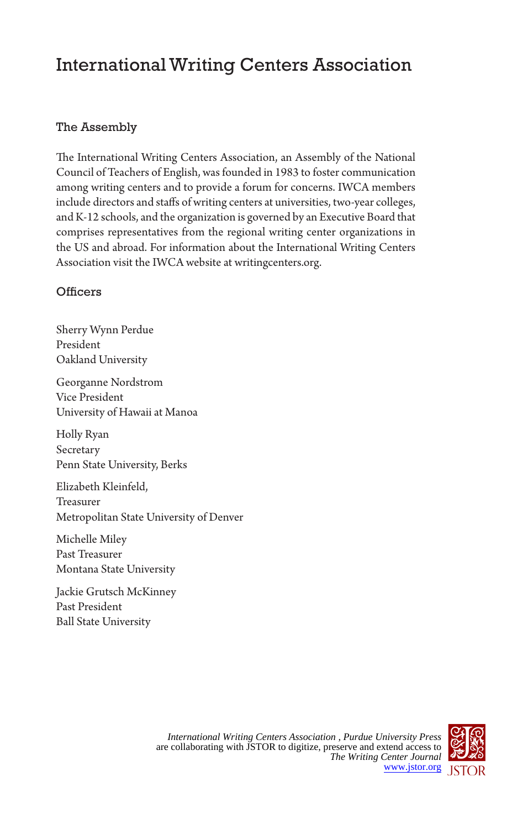# International Writing Centers Association

## The Assembly

The International Writing Centers Association, an Assembly of the National Council of Teachers of English, was founded in 1983 to foster communication among writing centers and to provide a forum for concerns. IWCA members include directors and staffs of writing centers at universities, two-year colleges, and K-12 schools, and the organization is governed by an Executive Board that comprises representatives from the regional writing center organizations in the US and abroad. For information about the International Writing Centers Association visit the IWCA website at writingcenters.org.

### **Officers**

Sherry Wynn Perdue President Oakland University

Georganne Nordstrom Vice President University of Hawaii at Manoa

Holly Ryan Secretary Penn State University, Berks

Elizabeth Kleinfeld, Treasurer Metropolitan State University of Denver

Michelle Miley Past Treasurer Montana State University

Jackie Grutsch McKinney Past President Ball State University

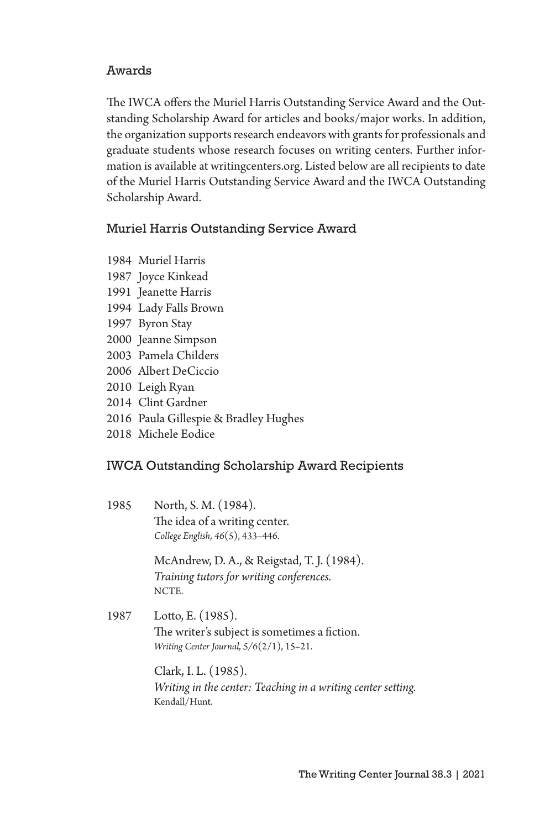#### Awards

The IWCA offers the Muriel Harris Outstanding Service Award and the Outstanding Scholarship Award for articles and books/major works. In addition, the organization supports research endeavors with grants for professionals and graduate students whose research focuses on writing centers. Further information is available at writingcenters.org. Listed below are all recipients to date of the Muriel Harris Outstanding Service Award and the IWCA Outstanding Scholarship Award.

#### Muriel Harris Outstanding Service Award

- 1984 Muriel Harris
- 1987 Joyce Kinkead
- 1991 Jeanette Harris
- 1994 Lady Falls Brown
- 1997 Byron Stay
- 2000 Jeanne Simpson
- 2003 Pamela Childers
- 2006 Albert DeCiccio
- 2010 Leigh Ryan
- 2014 Clint Gardner
- 2016 Paula Gillespie & Bradley Hughes
- 2018 Michele Eodice

#### IWCA Outstanding Scholarship Award Recipients

1985 North, S. M. (1984). The idea of a writing center. *College English, 46*(5), 433–446.

> McAndrew, D. A., & Reigstad, T. J. (1984). *Training tutors for writing conferences.*  NCTE.

1987 Lotto, E. (1985). The writer's subject is sometimes a fiction. *Writing Center Journal, 5/6*(2/1), 15–21.

> Clark, I. L. (1985). *Writing in the center: Teaching in a writing center setting.*  Kendall/Hunt.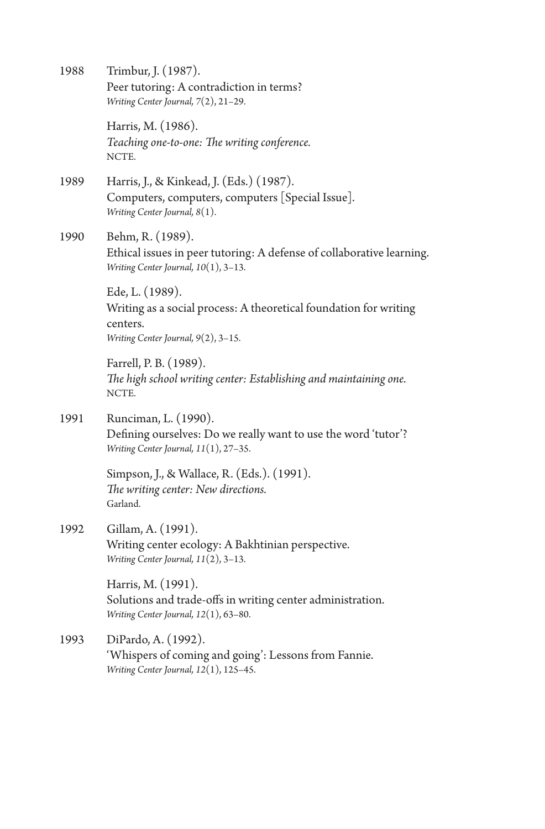| 1988 | Trimbur, J. (1987).<br>Peer tutoring: A contradiction in terms?<br>Writing Center Journal, 7(2), 21-29.                                 |
|------|-----------------------------------------------------------------------------------------------------------------------------------------|
|      | Harris, M. (1986).<br>Teaching one-to-one: The writing conference.<br>NCTE.                                                             |
| 1989 | Harris, J., & Kinkead, J. (Eds.) (1987).<br>Computers, computers, computers [Special Issue].<br>Writing Center Journal, 8(1).           |
| 1990 | Behm, R. (1989).<br>Ethical issues in peer tutoring: A defense of collaborative learning.<br>Writing Center Journal, $10(1)$ , $3-13$ . |
|      | Ede, L. (1989).<br>Writing as a social process: A theoretical foundation for writing<br>centers.<br>Writing Center Journal, 9(2), 3-15. |
|      | Farrell, P. B. (1989).<br>The high school writing center: Establishing and maintaining one.<br>NCTE.                                    |
| 1991 | Runciman, L. (1990).<br>Defining ourselves: Do we really want to use the word 'tutor'?<br>Writing Center Journal, 11(1), 27-35.         |
|      | Simpson, J., & Wallace, R. (Eds.). (1991).<br>The writing center: New directions.<br>Garland.                                           |
| 1992 | Gillam, A. (1991).<br>Writing center ecology: A Bakhtinian perspective.<br>Writing Center Journal, 11(2), 3-13.                         |
|      | Harris, M. (1991).<br>Solutions and trade-offs in writing center administration.<br>Writing Center Journal, 12(1), 63-80.               |
| 1993 | DiPardo, A. (1992).<br>'Whispers of coming and going': Lessons from Fannie.<br>Writing Center Journal, 12(1), 125-45.                   |
|      |                                                                                                                                         |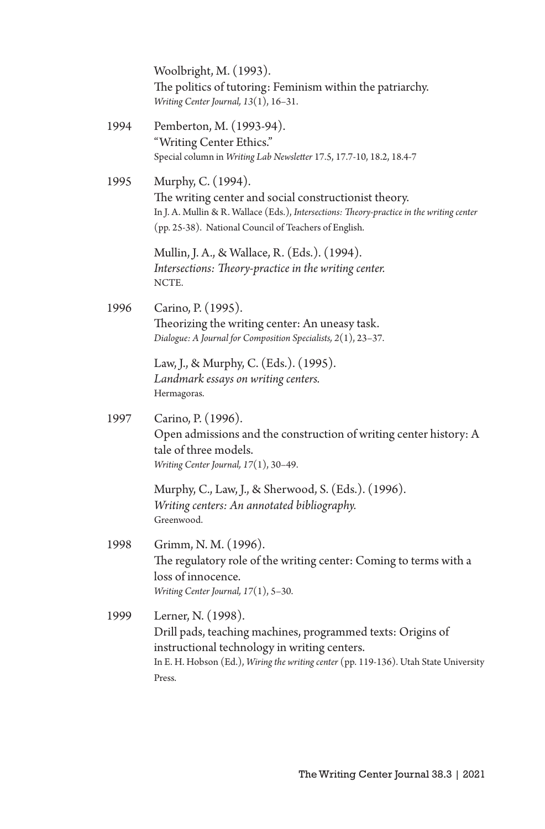|      | Woolbright, M. (1993).<br>The politics of tutoring: Feminism within the patriarchy.<br>Writing Center Journal, 13(1), 16-31.                                                                                                         |
|------|--------------------------------------------------------------------------------------------------------------------------------------------------------------------------------------------------------------------------------------|
| 1994 | Pemberton, M. (1993-94).<br>"Writing Center Ethics."<br>Special column in Writing Lab Newsletter 17.5, 17.7-10, 18.2, 18.4-7                                                                                                         |
| 1995 | Murphy, C. (1994).<br>The writing center and social constructionist theory.<br>In J. A. Mullin & R. Wallace (Eds.), Intersections: Theory-practice in the writing center<br>(pp. 25-38). National Council of Teachers of English.    |
|      | Mullin, J. A., & Wallace, R. (Eds.). (1994).<br>Intersections: Theory-practice in the writing center.<br>NCTE.                                                                                                                       |
| 1996 | Carino, P. (1995).<br>Theorizing the writing center: An uneasy task.<br>Dialogue: A Journal for Composition Specialists, 2(1), 23-37.                                                                                                |
|      | Law, J., & Murphy, C. (Eds.). (1995).<br>Landmark essays on writing centers.<br>Hermagoras.                                                                                                                                          |
| 1997 | Carino, P. (1996).<br>Open admissions and the construction of writing center history: A<br>tale of three models.<br>Writing Center Journal, 17(1), 30-49.                                                                            |
|      | Murphy, C., Law, J., & Sherwood, S. (Eds.). (1996).<br>Writing centers: An annotated bibliography.<br>Greenwood.                                                                                                                     |
| 1998 | Grimm, N. M. (1996).<br>The regulatory role of the writing center: Coming to terms with a<br>loss of innocence.<br>Writing Center Journal, 17(1), 5-30.                                                                              |
| 1999 | Lerner, N. (1998).<br>Drill pads, teaching machines, programmed texts: Origins of<br>instructional technology in writing centers.<br>In E. H. Hobson (Ed.), Wiring the writing center (pp. 119-136). Utah State University<br>Press. |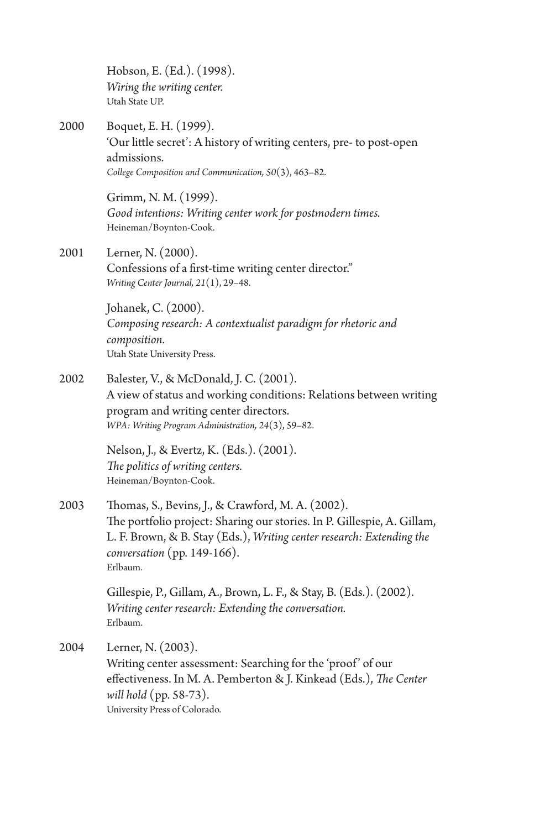|      | Hobson, E. (Ed.). (1998).<br>Wiring the writing center.<br>Utah State UP.                                                                                                                                                                           |
|------|-----------------------------------------------------------------------------------------------------------------------------------------------------------------------------------------------------------------------------------------------------|
| 2000 | Boquet, E. H. (1999).<br>'Our little secret': A history of writing centers, pre- to post-open<br>admissions.<br>College Composition and Communication, $50(3)$ , 463-82.                                                                            |
|      | Grimm, N. M. (1999).<br>Good intentions: Writing center work for postmodern times.<br>Heineman/Boynton-Cook.                                                                                                                                        |
| 2001 | Lerner, N. (2000).<br>Confessions of a first-time writing center director."<br>Writing Center Journal, $21(1)$ , $29-48$ .                                                                                                                          |
|      | Johanek, C. (2000).<br>Composing research: A contextualist paradigm for rhetoric and<br>composition.<br>Utah State University Press.                                                                                                                |
| 2002 | Balester, V., & McDonald, J. C. (2001).<br>A view of status and working conditions: Relations between writing<br>program and writing center directors.<br>WPA: Writing Program Administration, 24(3), 59-82.                                        |
|      | Nelson, J., & Evertz, K. (Eds.). (2001).<br>The politics of writing centers.<br>Heineman/Boynton-Cook.                                                                                                                                              |
| 2003 | Thomas, S., Bevins, J., & Crawford, M. A. (2002).<br>The portfolio project: Sharing our stories. In P. Gillespie, A. Gillam,<br>L. F. Brown, & B. Stay (Eds.), Writing center research: Extending the<br>conversation (pp. $149-166$ ).<br>Erlbaum. |
|      | Gillespie, P., Gillam, A., Brown, L. F., & Stay, B. (Eds.). (2002).<br>Writing center research: Extending the conversation.<br>Erlbaum.                                                                                                             |
| 2004 | Lerner, N. (2003).<br>Writing center assessment: Searching for the 'proof' of our<br>effectiveness. In M. A. Pemberton & J. Kinkead (Eds.), The Center<br>will hold (pp. 58-73).<br>University Press of Colorado.                                   |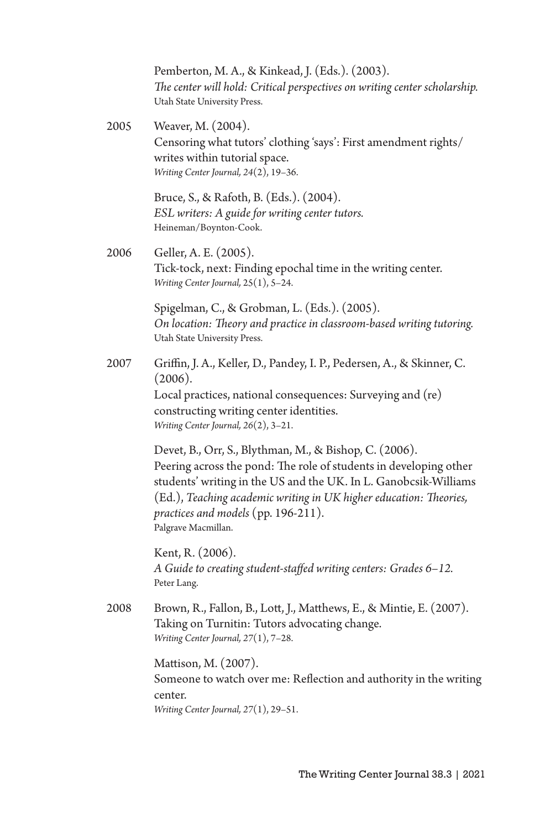Pemberton, M. A., & Kinkead, J. (Eds.). (2003). *The center will hold: Critical perspectives on writing center scholarship.* Utah State University Press.

2005 Weaver, M. (2004). Censoring what tutors' clothing 'says': First amendment rights/ writes within tutorial space. *Writing Center Journal, 24*(2), 19–36.

> Bruce, S., & Rafoth, B. (Eds.). (2004). *ESL writers: A guide for writing center tutors.*  Heineman/Boynton-Cook.

2006 Geller, A. E. (2005). Tick-tock, next: Finding epochal time in the writing center. *Writing Center Journal,* 25(1), 5–24.

> Spigelman, C., & Grobman, L. (Eds.). (2005). *On location: Theory and practice in classroom-based writing tutoring.* Utah State University Press.

2007 Griffin, J. A., Keller, D., Pandey, I. P., Pedersen, A., & Skinner, C.  $(2006).$ Local practices, national consequences: Surveying and (re) constructing writing center identities.

*Writing Center Journal, 26*(2), 3–21.

Devet, B., Orr, S., Blythman, M., & Bishop, C. (2006). Peering across the pond: The role of students in developing other students' writing in the US and the UK. In L. Ganobcsik-Williams (Ed.), *Teaching academic writing in UK higher education: Theories, practices and models* (pp. 196-211). Palgrave Macmillan.

Kent, R. (2006). *A Guide to creating student-staffed writing centers: Grades 6*–*12.*  Peter Lang.

2008 Brown, R., Fallon, B., Lott, J., Matthews, E., & Mintie, E. (2007). Taking on Turnitin: Tutors advocating change. *Writing Center Journal, 27*(1), 7–28.

> Mattison, M. (2007). Someone to watch over me: Reflection and authority in the writing center. *Writing Center Journal, 27*(1), 29–51.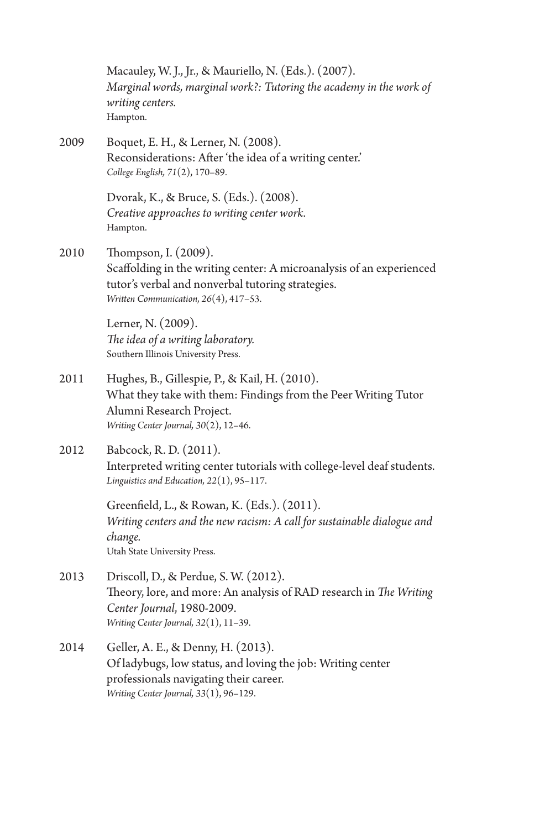|      | Macauley, W. J., Jr., & Mauriello, N. (Eds.). (2007).<br>Marginal words, marginal work?: Tutoring the academy in the work of<br>writing centers.<br>Hampton.                               |
|------|--------------------------------------------------------------------------------------------------------------------------------------------------------------------------------------------|
| 2009 | Boquet, E. H., & Lerner, N. (2008).<br>Reconsiderations: After 'the idea of a writing center.'<br>College English, 71(2), 170-89.                                                          |
|      | Dvorak, K., & Bruce, S. (Eds.). (2008).<br>Creative approaches to writing center work.<br>Hampton.                                                                                         |
| 2010 | Thompson, I. (2009).<br>Scaffolding in the writing center: A microanalysis of an experienced<br>tutor's verbal and nonverbal tutoring strategies.<br>Written Communication, 26(4), 417-53. |
|      | Lerner, N. (2009).<br>The idea of a writing laboratory.<br>Southern Illinois University Press.                                                                                             |
| 2011 | Hughes, B., Gillespie, P., & Kail, H. (2010).<br>What they take with them: Findings from the Peer Writing Tutor<br>Alumni Research Project.<br>Writing Center Journal, $30(2)$ , 12-46.    |
| 2012 | Babcock, R. D. (2011).<br>Interpreted writing center tutorials with college-level deaf students.<br>Linguistics and Education, $22(1)$ , 95-117.                                           |
|      | Greenfield, L., & Rowan, K. (Eds.). (2011).<br>Writing centers and the new racism: A call for sustainable dialogue and<br>change.<br>Utah State University Press.                          |
| 2013 | Driscoll, D., & Perdue, S. W. (2012).<br>Theory, lore, and more: An analysis of RAD research in The Writing<br>Center Journal, 1980-2009.<br>Writing Center Journal, 32(1), 11-39.         |
| 2014 | Geller, A. E., & Denny, H. (2013).<br>Of ladybugs, low status, and loving the job: Writing center<br>professionals navigating their career.<br>Writing Center Journal, 33(1), 96-129.      |
|      |                                                                                                                                                                                            |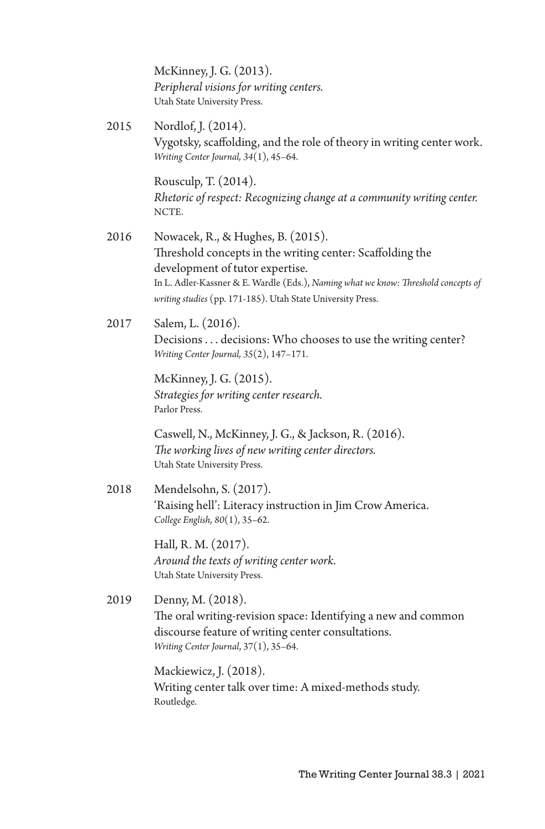McKinney, J. G. (2013). *Peripheral visions for writing centers.*  Utah State University Press.

2015 Nordlof, J. (2014). Vygotsky, scaffolding, and the role of theory in writing center work. *Writing Center Journal, 34*(1), 45–64.

> Rousculp, T. (2014). *Rhetoric of respect: Recognizing change at a community writing center.* NCTE.

- 2016 Nowacek, R., & Hughes, B. (2015). Threshold concepts in the writing center: Scaffolding the development of tutor expertise. In L. Adler-Kassner & E. Wardle (Eds.), *Naming what we know: Threshold concepts of writing studies* (pp. 171-185). Utah State University Press.
- 2017 Salem, L. (2016). Decisions . . . decisions: Who chooses to use the writing center? *Writing Center Journal, 35*(2), 147–171.

McKinney, J. G. (2015). *Strategies for writing center research.*  Parlor Press.

Caswell, N., McKinney, J. G., & Jackson, R. (2016). *The working lives of new writing center directors.*  Utah State University Press.

2018 Mendelsohn, S. (2017). 'Raising hell': Literacy instruction in Jim Crow America. *College English, 80*(1), 35–62.

> Hall, R. M. (2017). *Around the texts of writing center work.* Utah State University Press.

2019 Denny, M. (2018). The oral writing-revision space: Identifying a new and common discourse feature of writing center consultations. *Writing Center Journal*, 37(1), 35–64.

> Mackiewicz, J. (2018). Writing center talk over time: A mixed-methods study. Routledge.